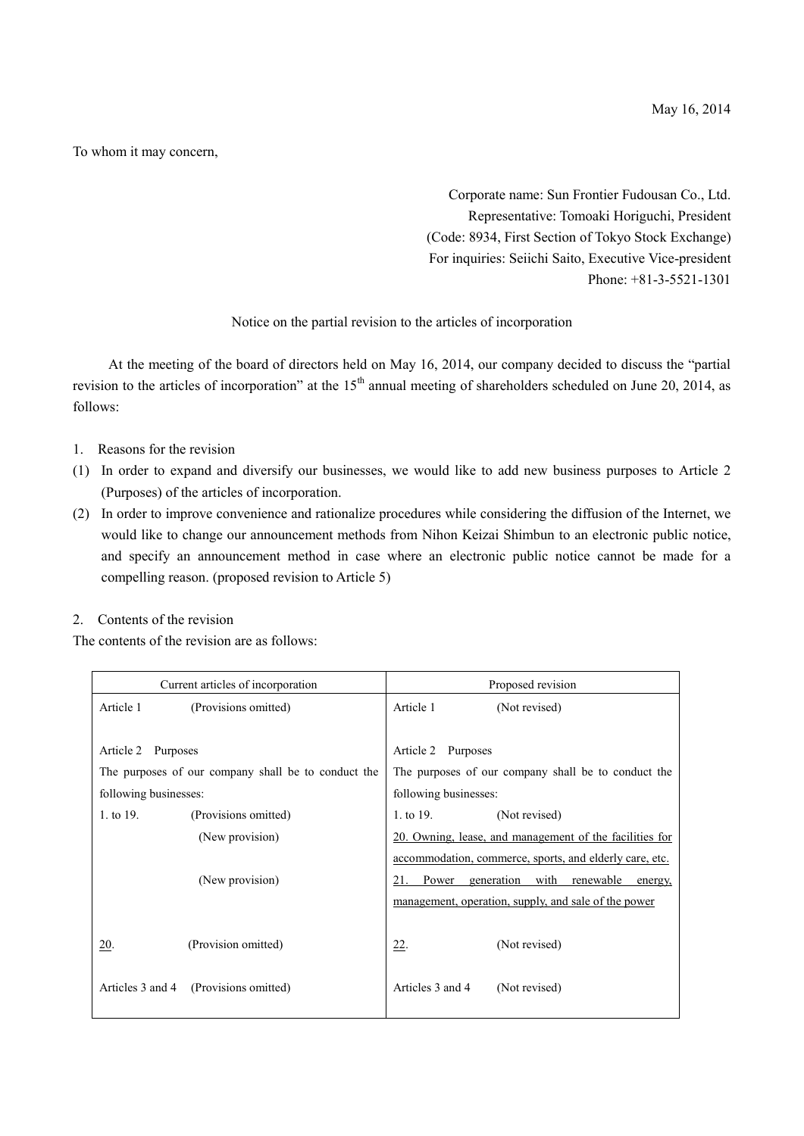To whom it may concern,

Corporate name: Sun Frontier Fudousan Co., Ltd. Representative: Tomoaki Horiguchi, President (Code: 8934, First Section of Tokyo Stock Exchange) For inquiries: Seiichi Saito, Executive Vice-president Phone: +81-3-5521-1301

## Notice on the partial revision to the articles of incorporation

At the meeting of the board of directors held on May 16, 2014, our company decided to discuss the "partial revision to the articles of incorporation" at the 15<sup>th</sup> annual meeting of shareholders scheduled on June 20, 2014, as follows:

- 1. Reasons for the revision
- (1) In order to expand and diversify our businesses, we would like to add new business purposes to Article 2 (Purposes) of the articles of incorporation.
- (2) In order to improve convenience and rationalize procedures while considering the diffusion of the Internet, we would like to change our announcement methods from Nihon Keizai Shimbun to an electronic public notice, and specify an announcement method in case where an electronic public notice cannot be made for a compelling reason. (proposed revision to Article 5)

## 2. Contents of the revision

The contents of the revision are as follows:

| Current articles of incorporation                   |                                       | Proposed revision                                   |                                                                 |
|-----------------------------------------------------|---------------------------------------|-----------------------------------------------------|-----------------------------------------------------------------|
| Article 1                                           | (Provisions omitted)                  | Article 1                                           | (Not revised)                                                   |
|                                                     |                                       |                                                     |                                                                 |
| Article 2<br>Purposes                               |                                       | Article 2 Purposes                                  |                                                                 |
| The purposes of our company shall be to conduct the |                                       | The purposes of our company shall be to conduct the |                                                                 |
| following businesses:                               |                                       | following businesses:                               |                                                                 |
| 1. to 19.                                           | (Provisions omitted)                  | 1. to 19.                                           | (Not revised)                                                   |
|                                                     | (New provision)                       |                                                     | 20. Owning, lease, and management of the facilities for         |
|                                                     |                                       |                                                     | <u>accommodation</u> , commerce, sports, and elderly care, etc. |
|                                                     | (New provision)                       | 21.                                                 | Power generation with renewable<br>energy,                      |
|                                                     |                                       |                                                     | management, operation, supply, and sale of the power            |
|                                                     |                                       |                                                     |                                                                 |
| <u>20</u> .                                         | (Provision omitted)                   | <u>22.</u>                                          | (Not revised)                                                   |
|                                                     |                                       |                                                     |                                                                 |
|                                                     | Articles 3 and 4 (Provisions omitted) | Articles 3 and 4                                    | (Not revised)                                                   |
|                                                     |                                       |                                                     |                                                                 |